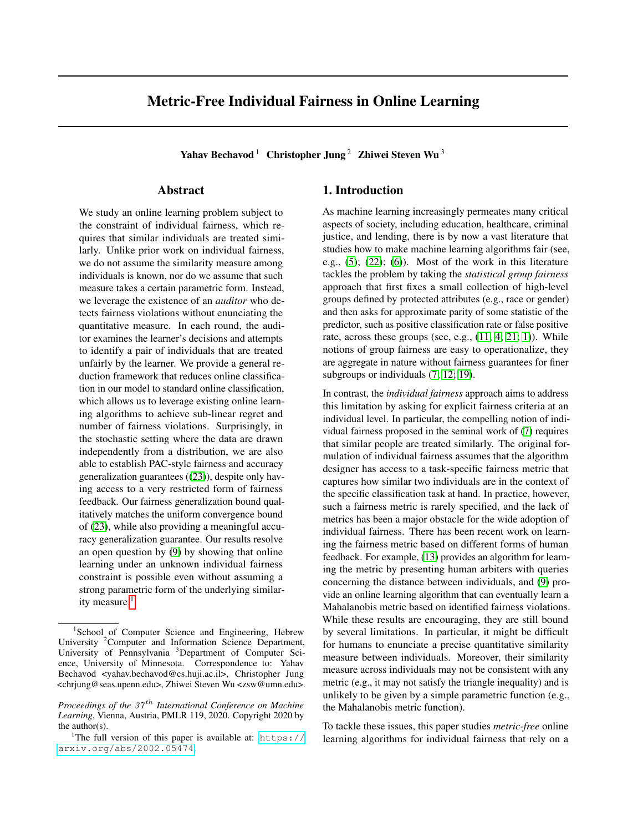# Metric-Free Individual Fairness in Online Learning

Yahav Bechavod<sup>1</sup> Christopher Jung<sup>2</sup> Zhiwei Steven Wu<sup>3</sup>

## Abstract

We study an online learning problem subject to the constraint of individual fairness, which requires that similar individuals are treated similarly. Unlike prior work on individual fairness, we do not assume the similarity measure among individuals is known, nor do we assume that such measure takes a certain parametric form. Instead, we leverage the existence of an *auditor* who detects fairness violations without enunciating the quantitative measure. In each round, the auditor examines the learner's decisions and attempts to identify a pair of individuals that are treated unfairly by the learner. We provide a general reduction framework that reduces online classification in our model to standard online classification, which allows us to leverage existing online learning algorithms to achieve sub-linear regret and number of fairness violations. Surprisingly, in the stochastic setting where the data are drawn independently from a distribution, we are also able to establish PAC-style fairness and accuracy generalization guarantees ([\(23\)](#page-5-0)), despite only having access to a very restricted form of fairness feedback. Our fairness generalization bound qualitatively matches the uniform convergence bound of [\(23\)](#page-5-0), while also providing a meaningful accuracy generalization guarantee. Our results resolve an open question by [\(9\)](#page-4-0) by showing that online learning under an unknown individual fairness constraint is possible even without assuming a strong parametric form of the underlying similar-ity measure.<sup>[1](#page-0-0)</sup>

## 1. Introduction

As machine learning increasingly permeates many critical aspects of society, including education, healthcare, criminal justice, and lending, there is by now a vast literature that studies how to make machine learning algorithms fair (see, e.g.,  $(5)$ ;  $(22)$ ;  $(6)$ ). Most of the work in this literature tackles the problem by taking the *statistical group fairness* approach that first fixes a small collection of high-level groups defined by protected attributes (e.g., race or gender) and then asks for approximate parity of some statistic of the predictor, such as positive classification rate or false positive rate, across these groups (see, e.g.,  $(11; 4; 21; 1)$  $(11; 4; 21; 1)$  $(11; 4; 21; 1)$  $(11; 4; 21; 1)$  $(11; 4; 21; 1)$  $(11; 4; 21; 1)$  $(11; 4; 21; 1)$ ). While notions of group fairness are easy to operationalize, they are aggregate in nature without fairness guarantees for finer subgroups or individuals  $(7; 12; 19)$  $(7; 12; 19)$  $(7; 12; 19)$ .

In contrast, the *individual fairness* approach aims to address this limitation by asking for explicit fairness criteria at an individual level. In particular, the compelling notion of individual fairness proposed in the seminal work of [\(7\)](#page-4-6) requires that similar people are treated similarly. The original formulation of individual fairness assumes that the algorithm designer has access to a task-specific fairness metric that captures how similar two individuals are in the context of the specific classification task at hand. In practice, however, such a fairness metric is rarely specified, and the lack of metrics has been a major obstacle for the wide adoption of individual fairness. There has been recent work on learning the fairness metric based on different forms of human feedback. For example, [\(13\)](#page-4-8) provides an algorithm for learning the metric by presenting human arbiters with queries concerning the distance between individuals, and [\(9\)](#page-4-0) provide an online learning algorithm that can eventually learn a Mahalanobis metric based on identified fairness violations. While these results are encouraging, they are still bound by several limitations. In particular, it might be difficult for humans to enunciate a precise quantitative similarity measure between individuals. Moreover, their similarity measure across individuals may not be consistent with any metric (e.g., it may not satisfy the triangle inequality) and is unlikely to be given by a simple parametric function (e.g., the Mahalanobis metric function).

To tackle these issues, this paper studies *metric-free* online learning algorithms for individual fairness that rely on a

<sup>&</sup>lt;sup>1</sup>School of Computer Science and Engineering, Hebrew University <sup>2</sup>Computer and Information Science Department, University of Pennsylvania <sup>3</sup>Department of Computer Science, University of Minnesota. Correspondence to: Yahav Bechavod <yahav.bechavod@cs.huji.ac.il>, Christopher Jung <chrjung@seas.upenn.edu>, Zhiwei Steven Wu <zsw@umn.edu>.

*Proceedings of the 37<sup>th</sup> International Conference on Machine Learning*, Vienna, Austria, PMLR 119, 2020. Copyright 2020 by the author(s).

<span id="page-0-0"></span><sup>&</sup>lt;sup>1</sup>The full version of this paper is available at:  $https://$ [arxiv.org/abs/2002.05474](https://arxiv.org/abs/2002.05474).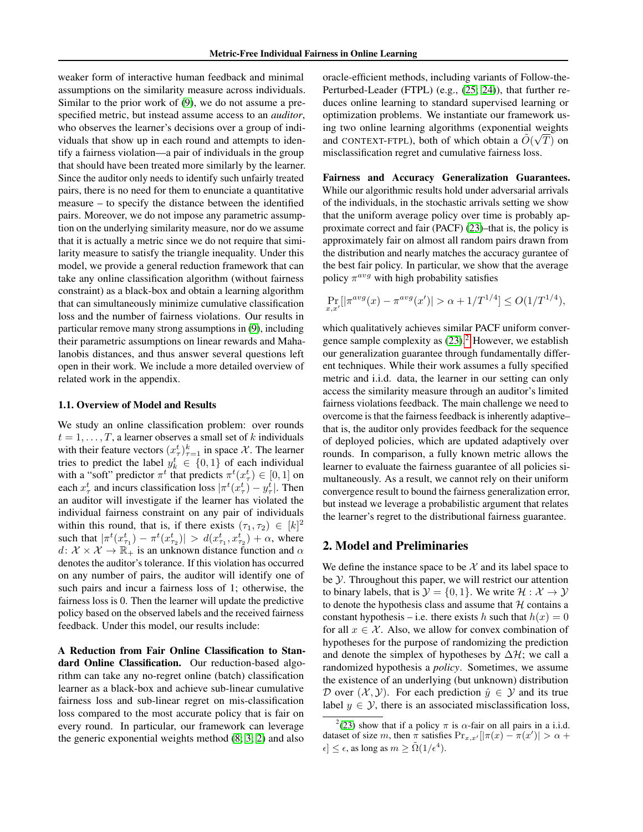weaker form of interactive human feedback and minimal assumptions on the similarity measure across individuals. Similar to the prior work of [\(9\)](#page-4-0), we do not assume a prespecified metric, but instead assume access to an *auditor*, who observes the learner's decisions over a group of individuals that show up in each round and attempts to identify a fairness violation—a pair of individuals in the group that should have been treated more similarly by the learner. Since the auditor only needs to identify such unfairly treated pairs, there is no need for them to enunciate a quantitative measure – to specify the distance between the identified pairs. Moreover, we do not impose any parametric assumption on the underlying similarity measure, nor do we assume that it is actually a metric since we do not require that similarity measure to satisfy the triangle inequality. Under this model, we provide a general reduction framework that can take any online classification algorithm (without fairness constraint) as a black-box and obtain a learning algorithm that can simultaneously minimize cumulative classification loss and the number of fairness violations. Our results in particular remove many strong assumptions in [\(9\)](#page-4-0), including their parametric assumptions on linear rewards and Mahalanobis distances, and thus answer several questions left open in their work. We include a more detailed overview of related work in the appendix.

#### 1.1. Overview of Model and Results

We study an online classification problem: over rounds  $t = 1, \ldots, T$ , a learner observes a small set of k individuals with their feature vectors  $(x_\tau^t)_{\tau=1}^k$  in space X. The learner tries to predict the label  $y_k^t \in \{0, 1\}$  of each individual with a "soft" predictor  $\pi^t$  that predicts  $\pi^t(x_{\tau}^t) \in [0,1]$  on each  $x_{\tau}^{t}$  and incurs classification loss  $|\pi^{t}(x_{\tau}^{t}) - y_{\tau}^{t}|$ . Then an auditor will investigate if the learner has violated the individual fairness constraint on any pair of individuals within this round, that is, if there exists  $(\tau_1, \tau_2) \in [k]^2$ such that  $|\pi^t(x_{\tau_1}^t) - \pi^t(x_{\tau_2}^t)| > d(x_{\tau_1}^t, x_{\tau_2}^t) + \alpha$ , where  $d: \mathcal{X} \times \mathcal{X} \to \mathbb{R}_+$  is an unknown distance function and  $\alpha$ denotes the auditor's tolerance. If this violation has occurred on any number of pairs, the auditor will identify one of such pairs and incur a fairness loss of 1; otherwise, the fairness loss is 0. Then the learner will update the predictive policy based on the observed labels and the received fairness feedback. Under this model, our results include:

A Reduction from Fair Online Classification to Standard Online Classification. Our reduction-based algorithm can take any no-regret online (batch) classification learner as a black-box and achieve sub-linear cumulative fairness loss and sub-linear regret on mis-classification loss compared to the most accurate policy that is fair on every round. In particular, our framework can leverage the generic exponential weights method [\(8;](#page-4-9) [3;](#page-4-10) [2\)](#page-4-11) and also

oracle-efficient methods, including variants of Follow-the-Perturbed-Leader (FTPL) (e.g., [\(25;](#page-5-4) [24\)](#page-5-5)), that further reduces online learning to standard supervised learning or optimization problems. We instantiate our framework using two online learning algorithms (exponential weights √ and CONTEXT-FTPL), both of which obtain a  $\tilde{O}(\sqrt{T})$  on misclassification regret and cumulative fairness loss.

Fairness and Accuracy Generalization Guarantees. While our algorithmic results hold under adversarial arrivals of the individuals, in the stochastic arrivals setting we show that the uniform average policy over time is probably approximate correct and fair (PACF) [\(23\)](#page-5-0)–that is, the policy is approximately fair on almost all random pairs drawn from the distribution and nearly matches the accuracy gurantee of the best fair policy. In particular, we show that the average policy  $\pi^{avg}$  with high probability satisfies

$$
\Pr_{x,x'}[|\pi^{avg}(x) - \pi^{avg}(x')| > \alpha + 1/T^{1/4}] \le O(1/T^{1/4}),
$$

which qualitatively achieves similar PACF uniform convergence sample complexity as  $(23).<sup>2</sup>$  $(23).<sup>2</sup>$  $(23).<sup>2</sup>$  $(23).<sup>2</sup>$  However, we establish our generalization guarantee through fundamentally different techniques. While their work assumes a fully specified metric and i.i.d. data, the learner in our setting can only access the similarity measure through an auditor's limited fairness violations feedback. The main challenge we need to overcome is that the fairness feedback is inherently adaptive– that is, the auditor only provides feedback for the sequence of deployed policies, which are updated adaptively over rounds. In comparison, a fully known metric allows the learner to evaluate the fairness guarantee of all policies simultaneously. As a result, we cannot rely on their uniform convergence result to bound the fairness generalization error, but instead we leverage a probabilistic argument that relates the learner's regret to the distributional fairness guarantee.

### 2. Model and Preliminaries

We define the instance space to be  $\mathcal X$  and its label space to be Y. Throughout this paper, we will restrict our attention to binary labels, that is  $\mathcal{Y} = \{0, 1\}$ . We write  $\mathcal{H} : \mathcal{X} \to \mathcal{Y}$ to denote the hypothesis class and assume that  $H$  contains a constant hypothesis – i.e. there exists h such that  $h(x) = 0$ for all  $x \in \mathcal{X}$ . Also, we allow for convex combination of hypotheses for the purpose of randomizing the prediction and denote the simplex of hypotheses by  $\Delta \mathcal{H}$ ; we call a randomized hypothesis a *policy*. Sometimes, we assume the existence of an underlying (but unknown) distribution D over  $(\mathcal{X}, \mathcal{Y})$ . For each prediction  $\hat{y} \in \mathcal{Y}$  and its true label  $y \in \mathcal{Y}$ , there is an associated misclassification loss,

<span id="page-1-0"></span><sup>&</sup>lt;sup>2</sup>[\(23\)](#page-5-0) show that if a policy  $\pi$  is  $\alpha$ -fair on all pairs in a i.i.d. dataset of size m, then  $\pi$  satisfies  $Pr_{x,x'}[|\pi(x) - \pi(x')| > \alpha +$  $\epsilon \leq \epsilon$ , as long as  $m \geq \tilde{\Omega}(1/\epsilon^4)$ .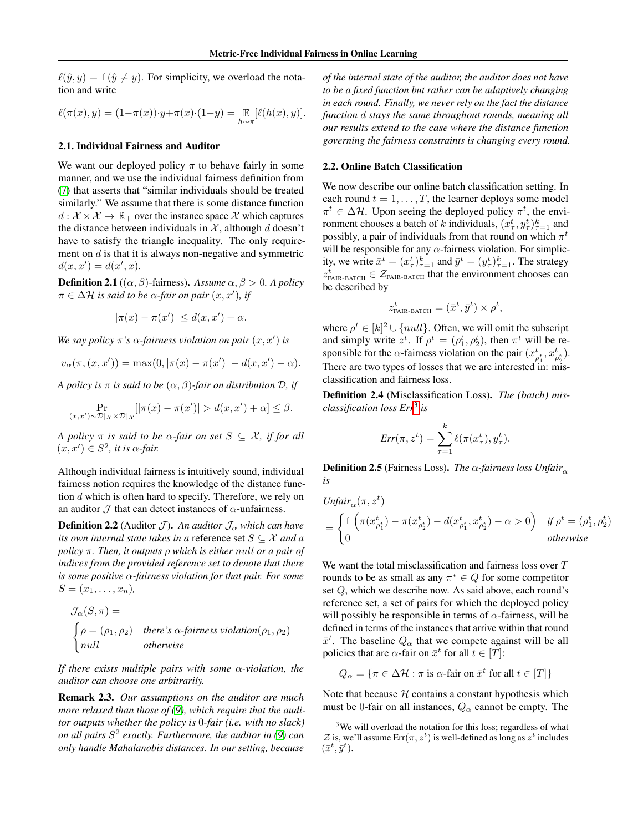$\ell(\hat{y}, y) = \mathbb{1}(\hat{y} \neq y)$ . For simplicity, we overload the notation and write

$$
\ell(\pi(x), y) = (1 - \pi(x)) \cdot y + \pi(x) \cdot (1 - y) = \mathop{\mathbb{E}}_{h \sim \pi} [\ell(h(x), y)].
$$

#### 2.1. Individual Fairness and Auditor

We want our deployed policy  $\pi$  to behave fairly in some manner, and we use the individual fairness definition from [\(7\)](#page-4-6) that asserts that "similar individuals should be treated similarly." We assume that there is some distance function  $d: \mathcal{X} \times \mathcal{X} \to \mathbb{R}_{+}$  over the instance space X which captures the distance between individuals in  $X$ , although d doesn't have to satisfy the triangle inequality. The only requirement on  $d$  is that it is always non-negative and symmetric  $d(x, x') = d(x', x).$ 

**Definition 2.1** (( $\alpha$ ,  $\beta$ )-fairness). *Assume*  $\alpha$ ,  $\beta > 0$ . *A policy*  $\pi \in \Delta \mathcal{H}$  *is said to be*  $\alpha$ -fair on pair  $(x, x')$ *, if* 

$$
|\pi(x) - \pi(x')| \le d(x, x') + \alpha.
$$

We say policy  $\pi$ 's  $\alpha$ -fairness violation on pair  $(x, x')$  is

$$
v_{\alpha}(\pi, (x, x')) = \max(0, |\pi(x) - \pi(x')| - d(x, x') - \alpha).
$$

*A policy is*  $\pi$  *is said to be*  $(\alpha, \beta)$ *-fair on distribution*  $\mathcal{D}$ *, if* 

$$
\Pr_{(x,x')\sim\mathcal{D}|_{\mathcal{X}}\times\mathcal{D}|_{\mathcal{X}}} [|\pi(x)-\pi(x')|>d(x,x')+\alpha]\leq\beta.
$$

*A policy*  $\pi$  *is said to be*  $\alpha$ -fair on set  $S \subseteq \mathcal{X}$ , *if for all*  $(x, x') \in S^2$ , *it is*  $\alpha$ *-fair.* 

Although individual fairness is intuitively sound, individual fairness notion requires the knowledge of the distance function d which is often hard to specify. Therefore, we rely on an auditor  $\mathcal J$  that can detect instances of  $\alpha$ -unfairness.

**Definition 2.2** (Auditor  $\mathcal{J}$ ). An auditor  $\mathcal{J}_{\alpha}$  which can have *its own internal state takes in a* reference set S ⊆ X *and a policy* π*. Then, it outputs* ρ *which is either* null *or a pair of indices from the provided reference set to denote that there is some positive* α*-fairness violation for that pair. For some*  $S = (x_1, \ldots, x_n)$ ,

$$
\mathcal{J}_{\alpha}(S,\pi) =
$$
\n
$$
\begin{cases}\n\rho = (\rho_1, \rho_2) & there's \alpha-fairness violation(\rho_1, \rho_2) \\
null & otherwise\n\end{cases}
$$

*If there exists multiple pairs with some* α*-violation, the auditor can choose one arbitrarily.*

Remark 2.3. *Our assumptions on the auditor are much more relaxed than those of [\(9\)](#page-4-0), which require that the auditor outputs whether the policy is* 0*-fair (i.e. with no slack) on all pairs* S 2 *exactly. Furthermore, the auditor in [\(9\)](#page-4-0) can only handle Mahalanobis distances. In our setting, because*

*of the internal state of the auditor, the auditor does not have to be a fixed function but rather can be adaptively changing in each round. Finally, we never rely on the fact the distance function* d *stays the same throughout rounds, meaning all our results extend to the case where the distance function governing the fairness constraints is changing every round.*

#### 2.2. Online Batch Classification

We now describe our online batch classification setting. In each round  $t = 1, \ldots, T$ , the learner deploys some model  $\pi^t \in \Delta \mathcal{H}$ . Upon seeing the deployed policy  $\pi^t$ , the environment chooses a batch of k individuals,  $(x_{\tau}^t, y_{\tau}^t)_{\tau=1}^k$  and possibly, a pair of individuals from that round on which  $\pi^t$ will be responsible for any  $\alpha$ -fairness violation. For simplicity, we write  $\bar{x}^t = (x_\tau^t)_{\tau=1}^k$  and  $\bar{y}^t = (y_\tau^t)_{\tau=1}^k$ . The strategy  $z_{\text{FAIR-BATCH}}^t \in \mathcal{Z}_{\text{FAIR-BATCH}}$  that the environment chooses can be described by

$$
z_{\text{FAIR-BATCH}}^t = (\bar{x}^t, \bar{y}^t) \times \rho^t,
$$

where  $\rho^t \in [k]^2 \cup \{null\}$ . Often, we will omit the subscript and simply write  $z^t$ . If  $\rho^t = (\rho_1^t, \rho_2^t)$ , then  $\pi^t$  will be responsible for the  $\alpha$ -fairness violation on the pair  $(x_{\rho_1^t}^t, x_{\rho_2^t}^t)$ . There are two types of losses that we are interested in: misclassification and fairness loss.

Definition 2.4 (Misclassification Loss). *The (batch) misclassification loss Err*[3](#page-2-0) *is*

$$
Err(\pi, z^t) = \sum_{\tau=1}^k \ell(\pi(x_\tau^t), y_\tau^t).
$$

**Definition 2.5** (Fairness Loss). *The*  $\alpha$ -fairness loss *Unfair*<sub> $\alpha$ </sub> *is*

$$
\begin{aligned} \textit{Unfair}_{\alpha}(\pi,z^t) \\ & = \begin{cases} \mathbbm{1}\left(\pi(x_{\rho_1^t}^t) - \pi(x_{\rho_2^t}^t) - d(x_{\rho_1^t}^t,x_{\rho_2^t}^t) - \alpha > 0\right) & \textit{if $\rho^t = (\rho_1^t, \rho_2^t)$} \\ 0 & \textit{otherwise} \end{cases} \end{aligned}
$$

We want the total misclassification and fairness loss over T rounds to be as small as any  $\pi^* \in Q$  for some competitor set Q, which we describe now. As said above, each round's reference set, a set of pairs for which the deployed policy will possibly be responsible in terms of  $\alpha$ -fairness, will be defined in terms of the instances that arrive within that round  $\bar{x}^t$ . The baseline  $Q_{\alpha}$  that we compete against will be all policies that are  $\alpha$ -fair on  $\bar{x}^t$  for all  $t \in [T]$ :

$$
Q_{\alpha} = \{ \pi \in \Delta \mathcal{H} : \pi \text{ is } \alpha \text{-fair on } \bar{x}^t \text{ for all } t \in [T] \}
$$

Note that because  $H$  contains a constant hypothesis which must be 0-fair on all instances,  $Q_{\alpha}$  cannot be empty. The

<span id="page-2-0"></span><sup>&</sup>lt;sup>3</sup>We will overload the notation for this loss; regardless of what  $\mathcal Z$  is, we'll assume  $\text{Err}(\pi, z^t)$  is well-defined as long as  $z^t$  includes  $(\bar{x}^t, \bar{y}^t).$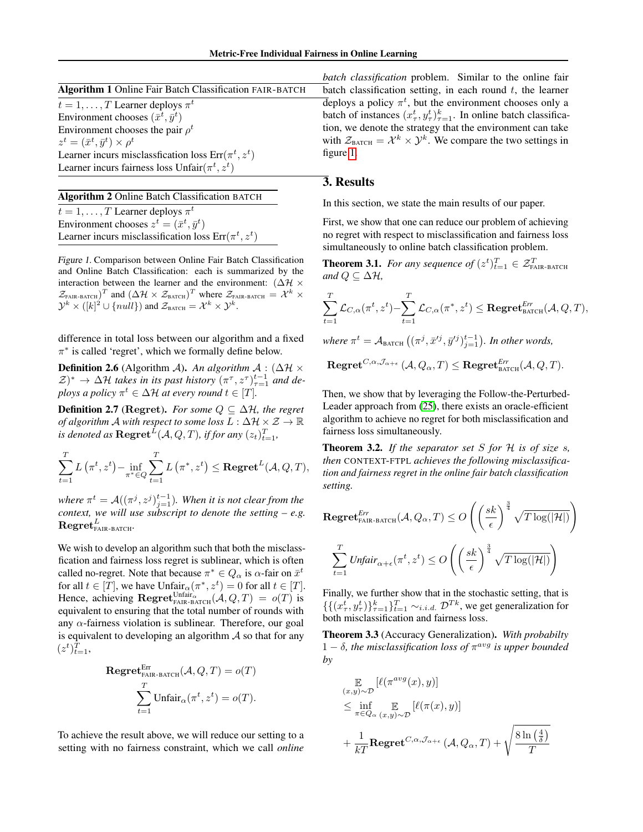| Algorithm 1 Online Fair Batch Classification FAIR-BATCH |  |
|---------------------------------------------------------|--|
| $t = 1, \ldots, T$ Learner deploys $\pi^t$              |  |
| Environment chooses $(\bar{x}^t, \bar{y}^t)$            |  |
| Environment chooses the pair $\rho^t$                   |  |
| $z^t = (\bar{x}^t, \bar{y}^t) \times \rho^t$            |  |
| Learner incurs misclassfication loss $Err(\pi^t, z^t)$  |  |
| Learner incurs fairness loss $Unfair(\pi^t, z^t)$       |  |

# Algorithm 2 Online Batch Classification BATCH

 $t = 1, \dots, T$  Learner deploys  $\pi^t$ Environment chooses  $z^t = (\bar{x}^t, \bar{y}^t)$ Learner incurs misclassification loss  $Err(\pi^t, z^t)$ 

<span id="page-3-0"></span>Figure 1. Comparison between Online Fair Batch Classification and Online Batch Classification: each is summarized by the interaction between the learner and the environment:  $(\Delta \mathcal{H} \times$  $\mathcal{Z}_{\text{FAIR-BATCH}}$ )<sup>T</sup> and  $(\Delta \mathcal{H} \times \mathcal{Z}_{\text{BATCH}})$ <sup>T</sup> where  $\mathcal{Z}_{\text{FAIR-BATCH}} = \mathcal{X}^k \times$  $\mathcal{Y}^k \times ([k]^2 \cup \{null\})$  and  $\mathcal{Z}_{\text{BATCH}} = \mathcal{X}^k \times \mathcal{Y}^k$ .

difference in total loss between our algorithm and a fixed  $\pi^*$  is called 'regret', which we formally define below.

**Definition 2.6** (Algorithm A). An algorithm  $\mathcal{A}$  : ( $\Delta \mathcal{H} \times$  $(\mathcal{Z})^* \to \Delta \mathcal{H}$  takes in its past history  $(\pi^{\tau}, z^{\tau})_{\tau=1}^{t-1}$  and de*ploys a policy*  $\pi^t \in \Delta \mathcal{H}$  *at every round*  $t \in [T]$ *.* 

**Definition 2.7** (Regret). *For some*  $Q \subseteq \Delta \mathcal{H}$ *, the regret of algorithm* A *with respect to some loss* L : ∆H × Z → R is denoted as  $\text{Regret}^{\tilde{L}}(\mathcal{A}, Q, T)$ , if for any  $(z_t)_{t=1}^T$ ,

$$
\sum_{t=1}^{T} L\left(\pi^{t}, z^{t}\right) - \inf_{\pi^{*} \in Q} \sum_{t=1}^{T} L\left(\pi^{*}, z^{t}\right) \leq \text{Regret}^{L}(\mathcal{A}, Q, T),
$$

where  $\pi^t = \mathcal{A}((\pi^j, z^j)_{j=1}^{t-1})$ *. When it is not clear from the context, we will use subscript to denote the setting – e.g.*  $\mathrm{Regret}_{\mathrm{FAIR-BATCH}}^{L}$ .

We wish to develop an algorithm such that both the misclassfication and fairness loss regret is sublinear, which is often called no-regret. Note that because  $\pi^* \in Q_\alpha$  is  $\alpha$ -fair on  $\bar{x}^t$ for all  $t \in [T]$ , we have  $\text{Unfair}_{\alpha}(\pi^*, z^t) = 0$  for all  $t \in [T]$ . Hence, achieving  $\text{Regret}_{\text{FAIR-BATCH}}^{Unfair_{\alpha}}(\mathcal{A}, Q, T) = o(T)$  is equivalent to ensuring that the total number of rounds with any  $\alpha$ -fairness violation is sublinear. Therefore, our goal is equivalent to developing an algorithm  $A$  so that for any  $(z^t)_{t=1}^T$ 

$$
\text{Regret}^{\text{Err}}_{\text{FAIR-BATCH}}(\mathcal{A}, Q, T) = o(T)
$$

$$
\sum_{t=1}^{T} \text{Unfair}_{\alpha}(\pi^{t}, z^{t}) = o(T).
$$

To achieve the result above, we will reduce our setting to a setting with no fairness constraint, which we call *online* *batch classification* problem. Similar to the online fair batch classification setting, in each round  $t$ , the learner  $\overline{\text{deplots}}$  a policy  $\pi^t$ , but the environment chooses only a batch of instances  $(x_\tau^t, y_\tau^t)_{\tau=1}^k$ . In online batch classification, we denote the strategy that the environment can take with  $\mathcal{Z}_{\text{BATCH}} = \mathcal{X}^k \times \mathcal{Y}^k$ . We compare the two settings in figure [1.](#page-3-0)

## 3. Results

In this section, we state the main results of our paper.

First, we show that one can reduce our problem of achieving no regret with respect to misclassification and fairness loss simultaneously to online batch classification problem.

**Theorem 3.1.** For any sequence of  $(z^t)_{t=1}^T \in \mathcal{Z}_{\text{FAIR-BATCH}}^T$ *and*  $Q \subseteq \Delta H$ *,* 

$$
\sum_{t=1}^T \mathcal{L}_{C,\alpha}(\pi^t, z^t) - \sum_{t=1}^T \mathcal{L}_{C,\alpha}(\pi^*, z^t) \le \text{Regret}_{\text{BATCH}}^{\text{Err}}(\mathcal{A}, Q, T),
$$

where  $\pi^t = A_{\text{BATCH}} \left( (\pi^j, \bar{x}'^j, \bar{y}'^j)_{j=1}^{t-1} \right)$ *. In other words,* 

$$
\textbf{Regret}^{C,\alpha,\mathcal{J}_{\alpha+\epsilon}}\left(\mathcal{A},Q_\alpha,T\right)\leq \textbf{Regret}^{Err}_{\texttt{BATCH}}(\mathcal{A},Q,T).
$$

Then, we show that by leveraging the Follow-the-Perturbed-Leader approach from [\(25\)](#page-5-4), there exists an oracle-efficient algorithm to achieve no regret for both misclassification and fairness loss simultaneously.

Theorem 3.2. *If the separator set* S *for* H *is of size* s*, then* CONTEXT-FTPL *achieves the following misclassification and fairness regret in the online fair batch classification setting.*

$$
\operatorname{Regret}_{\text{FAIR-BATCH}}^{\text{Err}}(\mathcal{A}, Q_{\alpha}, T) \le O\left(\left(\frac{sk}{\epsilon}\right)^{\frac{3}{4}} \sqrt{T \log(|\mathcal{H}|)}\right)
$$

$$
\sum_{t=1}^{T} \text{Unfair}_{\alpha + \epsilon}(\pi^{t}, z^{t}) \le O\left(\left(\frac{sk}{\epsilon}\right)^{\frac{3}{4}} \sqrt{T \log(|\mathcal{H}|)}\right)
$$

Finally, we further show that in the stochastic setting, that is  $\{\{(x_\tau^t, y_\tau^t)\}_{\tau=1}^k\}_{t=1}^T \sim_{i.i.d.} \mathcal{D}^{Tk}$ , we get generalization for both misclassification and fairness loss.

Theorem 3.3 (Accuracy Generalization). *With probabilty*  $1 - \delta$ , the misclassification loss of  $\pi^{avg}$  is upper bounded *by*

$$
\mathbb{E}_{(x,y)\sim\mathcal{D}}[\ell(\pi^{avg}(x), y)]
$$
\n
$$
\leq \inf_{\pi \in Q_{\alpha}} \mathbb{E}_{(x,y)\sim\mathcal{D}}[\ell(\pi(x), y)]
$$
\n
$$
+ \frac{1}{kT} \mathbf{Regret}^{C,\alpha, \mathcal{J}_{\alpha+\epsilon}}(\mathcal{A}, Q_{\alpha}, T) + \sqrt{\frac{8\ln(\frac{4}{\delta})}{T}}
$$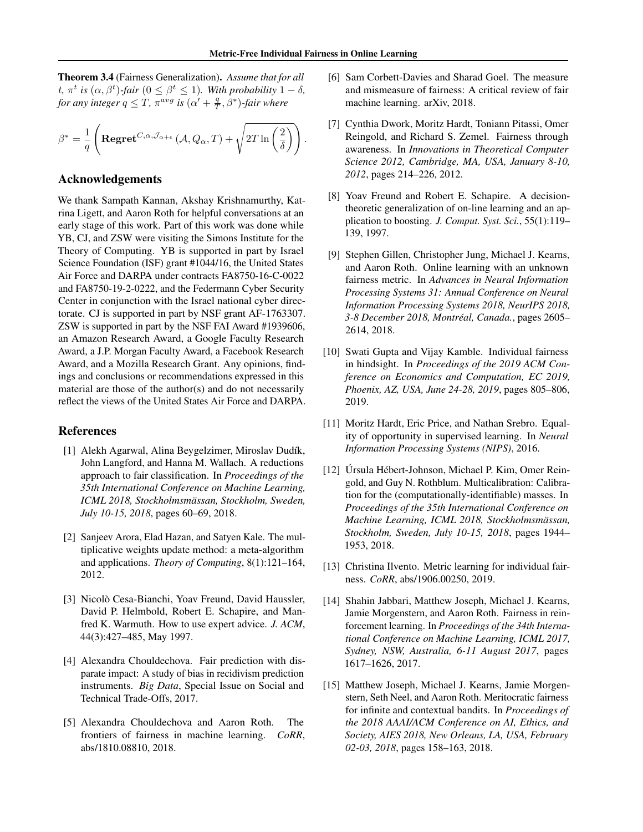.

Theorem 3.4 (Fairness Generalization). *Assume that for all* t,  $\pi^t$  is  $(\alpha, \beta^t)$ -fair  $(0 \leq \beta^t \leq 1)$ *. With probability*  $1 - \delta$ *, for any integer*  $q \leq T$ ,  $\pi^{avg}$  *is*  $(\alpha' + \frac{q}{T}, \beta^*)$ -*fair where* 

$$
\beta^* = \frac{1}{q} \left( \mathbf{Regret}^{C,\alpha,\mathcal{J}_{\alpha+\epsilon}} \left( \mathcal{A}, Q_\alpha, T \right) + \sqrt{2T \ln \left( \frac{2}{\delta} \right)} \right)
$$

### Acknowledgements

We thank Sampath Kannan, Akshay Krishnamurthy, Katrina Ligett, and Aaron Roth for helpful conversations at an early stage of this work. Part of this work was done while YB, CJ, and ZSW were visiting the Simons Institute for the Theory of Computing. YB is supported in part by Israel Science Foundation (ISF) grant #1044/16, the United States Air Force and DARPA under contracts FA8750-16-C-0022 and FA8750-19-2-0222, and the Federmann Cyber Security Center in conjunction with the Israel national cyber directorate. CJ is supported in part by NSF grant AF-1763307. ZSW is supported in part by the NSF FAI Award #1939606, an Amazon Research Award, a Google Faculty Research Award, a J.P. Morgan Faculty Award, a Facebook Research Award, and a Mozilla Research Grant. Any opinions, findings and conclusions or recommendations expressed in this material are those of the author(s) and do not necessarily reflect the views of the United States Air Force and DARPA.

## References

- <span id="page-4-5"></span>[1] Alekh Agarwal, Alina Beygelzimer, Miroslav Dudík, John Langford, and Hanna M. Wallach. A reductions approach to fair classification. In *Proceedings of the 35th International Conference on Machine Learning, ICML 2018, Stockholmsmässan, Stockholm, Sweden, July 10-15, 2018*, pages 60–69, 2018.
- <span id="page-4-11"></span>[2] Sanjeev Arora, Elad Hazan, and Satyen Kale. The multiplicative weights update method: a meta-algorithm and applications. *Theory of Computing*, 8(1):121–164, 2012.
- <span id="page-4-10"></span>[3] Nicolò Cesa-Bianchi, Yoav Freund, David Haussler, David P. Helmbold, Robert E. Schapire, and Manfred K. Warmuth. How to use expert advice. *J. ACM*, 44(3):427–485, May 1997.
- <span id="page-4-4"></span>[4] Alexandra Chouldechova. Fair prediction with disparate impact: A study of bias in recidivism prediction instruments. *Big Data*, Special Issue on Social and Technical Trade-Offs, 2017.
- <span id="page-4-1"></span>[5] Alexandra Chouldechova and Aaron Roth. The frontiers of fairness in machine learning. *CoRR*, abs/1810.08810, 2018.
- <span id="page-4-2"></span>[6] Sam Corbett-Davies and Sharad Goel. The measure and mismeasure of fairness: A critical review of fair machine learning. arXiv, 2018.
- <span id="page-4-6"></span>[7] Cynthia Dwork, Moritz Hardt, Toniann Pitassi, Omer Reingold, and Richard S. Zemel. Fairness through awareness. In *Innovations in Theoretical Computer Science 2012, Cambridge, MA, USA, January 8-10, 2012*, pages 214–226, 2012.
- <span id="page-4-9"></span>[8] Yoav Freund and Robert E. Schapire. A decisiontheoretic generalization of on-line learning and an application to boosting. *J. Comput. Syst. Sci.*, 55(1):119– 139, 1997.
- <span id="page-4-0"></span>[9] Stephen Gillen, Christopher Jung, Michael J. Kearns, and Aaron Roth. Online learning with an unknown fairness metric. In *Advances in Neural Information Processing Systems 31: Annual Conference on Neural Information Processing Systems 2018, NeurIPS 2018, 3-8 December 2018, Montréal, Canada.*, pages 2605– 2614, 2018.
- [10] Swati Gupta and Vijay Kamble. Individual fairness in hindsight. In *Proceedings of the 2019 ACM Conference on Economics and Computation, EC 2019, Phoenix, AZ, USA, June 24-28, 2019*, pages 805–806, 2019.
- <span id="page-4-3"></span>[11] Moritz Hardt, Eric Price, and Nathan Srebro. Equality of opportunity in supervised learning. In *Neural Information Processing Systems (NIPS)*, 2016.
- <span id="page-4-7"></span>[12] Úrsula Hébert-Johnson, Michael P. Kim, Omer Reingold, and Guy N. Rothblum. Multicalibration: Calibration for the (computationally-identifiable) masses. In *Proceedings of the 35th International Conference on Machine Learning, ICML 2018, Stockholmsmässan, Stockholm, Sweden, July 10-15, 2018*, pages 1944– 1953, 2018.
- <span id="page-4-8"></span>[13] Christina Ilvento. Metric learning for individual fairness. *CoRR*, abs/1906.00250, 2019.
- [14] Shahin Jabbari, Matthew Joseph, Michael J. Kearns, Jamie Morgenstern, and Aaron Roth. Fairness in reinforcement learning. In *Proceedings of the 34th International Conference on Machine Learning, ICML 2017, Sydney, NSW, Australia, 6-11 August 2017*, pages 1617–1626, 2017.
- [15] Matthew Joseph, Michael J. Kearns, Jamie Morgenstern, Seth Neel, and Aaron Roth. Meritocratic fairness for infinite and contextual bandits. In *Proceedings of the 2018 AAAI/ACM Conference on AI, Ethics, and Society, AIES 2018, New Orleans, LA, USA, February 02-03, 2018*, pages 158–163, 2018.